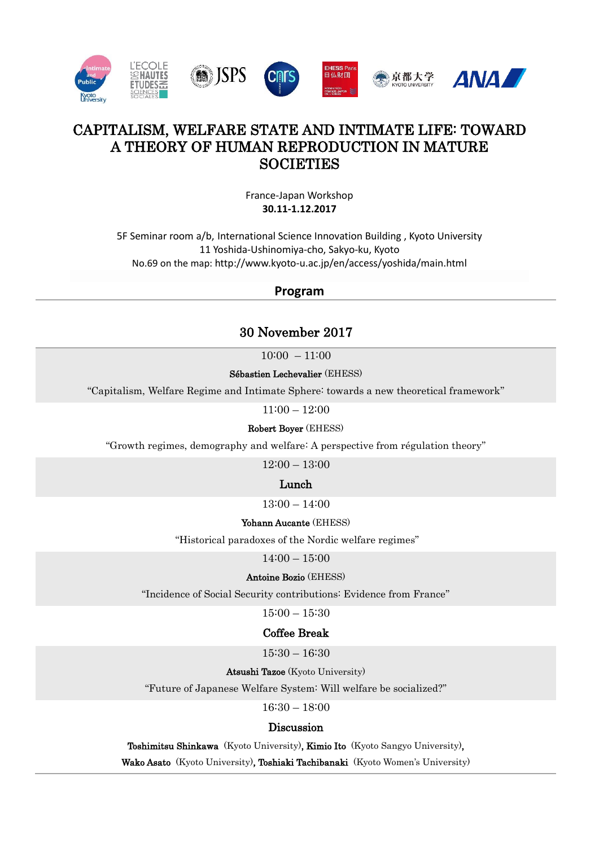

# CAPITALISM, WELFARE STATE AND INTIMATE LIFE: TOWARD A THEORY OF HUMAN REPRODUCTION IN MATURE **SOCIETIES**

France-Japan Workshop **30.11-1.12.2017**

5F Seminar room a/b, International Science Innovation Building , Kyoto University 11 Yoshida-Ushinomiya-cho, Sakyo-ku, Kyoto No.69 on the map: http://www.kyoto-u.ac.jp/en/access/yoshida/main.html

## **Program**

# 30 November 2017

 $10:00 - 11:00$ 

Sébastien Lechevalier (EHESS)

"Capitalism, Welfare Regime and Intimate Sphere: towards a new theoretical framework"

 $11:00 - 12:00$ 

Robert Boyer (EHESS)

"Growth regimes, demography and welfare: A perspective from régulation theory"

12:00 – 13:00

Lunch

 $13:00 - 14:00$ 

#### Yohann Aucante (EHESS)

"Historical paradoxes of the Nordic welfare regimes"

 $14:00 - 15:00$ 

Antoine Bozio (EHESS)

"Incidence of Social Security contributions: Evidence from France"

15:00 – 15:30

## Coffee Break

15:30 – 16:30

Atsushi Tazoe (Kyoto University)

"Future of Japanese Welfare System: Will welfare be socialized?"

16:30 – 18:00

## Discussion

Toshimitsu Shinkawa (Kyoto University), Kimio Ito (Kyoto Sangyo University),

Wako Asato (Kyoto University), Toshiaki Tachibanaki (Kyoto Women's University)